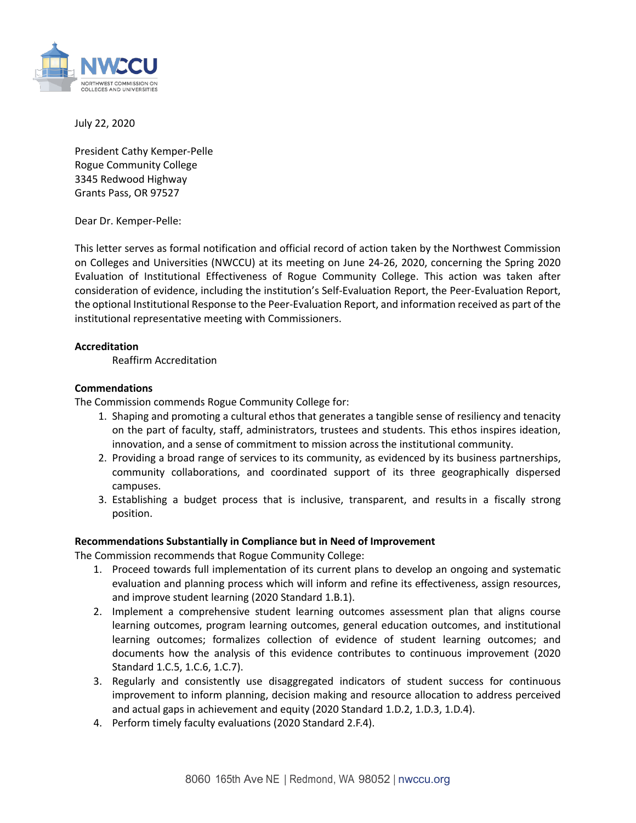

July 22, 2020

 Grants Pass, OR 97527 President Cathy Kemper-Pelle Rogue Community College 3345 Redwood Highway

Dear Dr. Kemper-Pelle:

 This letter serves as formal notification and official record of action taken by the Northwest Commission on Colleges and Universities (NWCCU) at its meeting on June 24-26, 2020, concerning the Spring 2020 the optional Institutional Response to the Peer-Evaluation Report, and information received as part of the Evaluation of Institutional Effectiveness of Rogue Community College. This action was taken after consideration of evidence, including the institution's Self-Evaluation Report, the Peer-Evaluation Report, institutional representative meeting with Commissioners.

## **Accreditation**

Reaffirm Accreditation

## **Commendations**

The Commission commends Rogue Community College for:

- 1. Shaping and promoting a cultural ethos that generates a tangible sense of resiliency and tenacity on the part of faculty, staff, administrators, trustees and students. This ethos inspires ideation, innovation, and a sense of commitment to mission across the institutional community.
- innovation, and a sense of commitment to mission across the institutional community. 2. Providing a broad range of services to its community, as evidenced by its business partnerships, community collaborations, and coordinated support of its three geographically dispersed campuses.
- 3. Establishing a budget process that is inclusive, transparent, and results in a fiscally strong position.

## **Recommendations Substantially in Compliance but in Need of Improvement**

The Commission recommends that Rogue Community College:

- 1. Proceed towards full implementation of its current plans to develop an ongoing and systematic evaluation and planning process which will inform and refine its effectiveness, assign resources, and improve student learning (2020 Standard 1.B.1).
- learning outcomes, program learning outcomes, general education outcomes, and institutional learning outcomes; formalizes collection of evidence of student learning outcomes; and documents how the analysis of this evidence contributes to continuous improvement (2020 2. Implement a comprehensive student learning outcomes assessment plan that aligns course Standard 1.C.5, 1.C.6, 1.C.7).
- 3. Regularly and consistently use disaggregated indicators of student success for continuous improvement to inform planning, decision making and resource allocation to address perceived and actual gaps in achievement and equity (2020 Standard 1.D.2, 1.D.3, 1.D.4).
- 4. Perform timely faculty evaluations (2020 Standard 2.F.4).